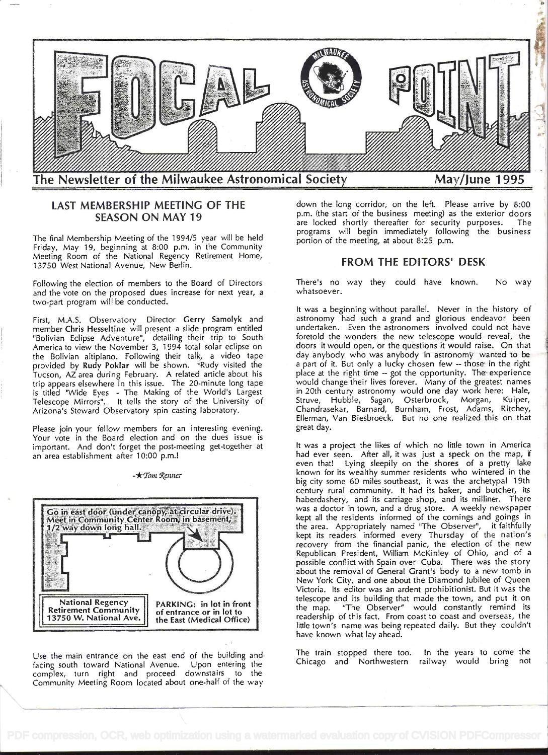

# LAST MEMBERSHIP MEETING OF THE SEASON ON MAY19

The final Membership Meeting of the 1994/5 year will be held Friday, May 19, beginning at 8:00 p.m. in the Community Meeting Room of the National Regency Retirement Home, 13750 West National Avenue, New Berlin.

Following the election of members to the Board of Directors and the vote on the proposed dues increase for next year, a two-part program will be conducted.

First, M.A.S. Observatory Director Gerry Samolyk and member Chris Hesseltine will present a slide program entitled "Bolivian Eclipse Adventure", detailing their trip to South America to view the November 3, 1 994 total solar eclipse on the Bolivian altiplano. Following their talk, a video tape provided by Rudy Poklar will be shown. Rudy visited the Tucson, AZ area during February. A related article about his trip appears elsewhere in this issue. The 20-minute long tape is titled "Wide Eyes - The Making of the World's Largest Telescope Mirrors". lt tells the story of the University of Arizona's Steward Observatory spin casting laboratory.

Please join your fellow members for an interesting evening. Your vote in the Board election and on the dues issue is important. And don't forget the post-meeting get-together at an area establishment after 10:00 p.m.!

 $-\star$ Tom Renner

# Go in east door (under canopy, at circular drive).<br>Meet in Community Center Room, in basement,<br>1/2 way down long hall. **National Regency** PARKING: in lot in front **Retirement Community** of entrance or in lot to

13750 W. National Ave. the East (Medical Office)

Use the main entrance on the east end of the building and facing south toward National Avenue. Upon entering the complex, turn right and proceed downstairs to the Community Meeting Room located about one-half of the way

down the long corridor, on the left. Please arrive by 8:00 p.m. (the start of the business meeting) as the exterior doors are locked shortly thereafter for security purposes. The programs will begin immediately following the business portion of the meeting, at about 8:25 p.m.

# FROM THE EDITORS' DESK

There's no way they could have known. No way whatsoever.

lt was a beginning without parallel. Never in the history of astronomy had such a grand and glorious endeavor been undertaken. Even the astronomers involved could not have foretold the wonders the new telescope would reveal, the doors it would open, or the questions it would raise. On that day anybody who was anybody in astronomy wanted to be a part of it. But only a lucky chosen few  $-$  those in the right place at the right time -- got the opportunity. The experience would change their lives forever. Many of the greatest names in 20th century astronomy would one day work here: Hale, Struve, Hubble, Sagan, Osterbrock, Morgan, Kuiper, Chandrasekar, Barnard, Burnham, Frost, Adams, Ritchey, Ellerman, Van Biesbroeck. But no one realized this on that great day.

lt was a project the likes of which no little town in America had ever seen. After all, it was just a speck on the map, if even that! Lying sleepily on the shores of a pretty lake known for its wealthy summer residents who wintered in the big city some 60 miles southeast, it was the archetypal 19th  $\vert$ century rural community. lt had its baker, and butcher, its haberdashery, and its carriage shop, and its milliner. There was a doctor in town, and a drug store. A weekly newspaper kept all the residents informed of the comings and goings in the area. Appropriately named 'The Observer", it faithfully kept its readers informed every Thursday of the nation's recovery from the financial panic, the election of the new Republican President, William McKinley of Ohio, and of a possible conflict with Spain over Cuba. There was the story about the removal of General Grant's body to a new tomb in New York City, and one about the Diamond Jubilee of Queen Victoria. Its editor was an ardent prohibitionist. But it was the telescope and its building that made the town, and put it on the map. "The Observer" would constantly remind its readership of this fact. From coast to coast and overseas, the little town's name was being repeated daily. But they couldn't have known what lay ahead.

The train stopped there too. In the years to come the Chicago and Northwestern railway would bring not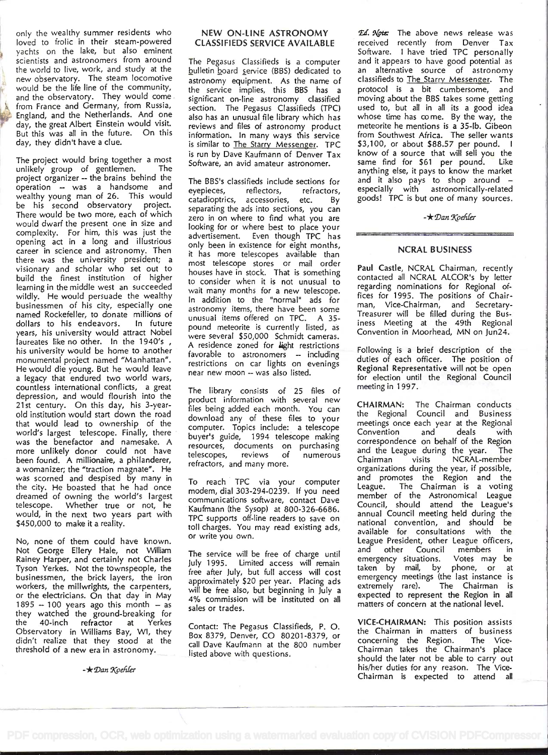only the wealthy summer residents who loved to frolic in their steam-powered yachts on the lake, but also eminent scientists and astronomers from around the world to live, work, and study at the new observatory. The steam locomotive : would be the life line of the community, and the observatory. They would come from France and Germany, from Russia, England, and the Netherlands. And one day, the great Albert Einstein would visit. But this was all in the future. On this day, they didn't have a clue.

The project would bring together a most unlikely group of gentlemen. The project organizer -- the brains behind the operation - was a handsome and wealthy young man of 26. This would be his second observatory project. There would be two more, each of which  $\frac{1}{2}$ would dwarf the present one in size and complexity. For him, this was just the opening act in a long and illustrious career in science and astronomy. Then there was the university president; a visionary and scholar who set out to build the finest institution of higher learning in the middle west an succeeded wildly. He would persuade the wealthy businessmen of his city, especially one named Rockefeller, to donate millions of<br>dollars to his endeavors. In future dollars to his endeavors. years, his university would attract Nobel laureates like no other. In the 1940's, his university would be home to another monumental project named "Manhattan". He would die young. But he would leave a legacy that endured two world wars, countless international conflicts, a great depression, and would flourish into the 21st century. On this day, his 3-yearold institution would start down the road that would lead to ownership of the world's largest telescope. Finally, there was the benefactor and namesake. A more unlikely donor could not have been found. A millionaire, a philanderer, a womanizer; the "traction magnate". He was scorned and despised by many in the city. He boasted that he had once dreamed of owning the world's largest telescope. Whether true or not, he would, in the next two years part with \$450,000 to make it a reality.

No, none of them could have known. Not George Ellery Hale, not William Rainey Harper, and certainly not Charles Tyson Yerkes. Not the townspeople, the businessmen, the brick layers, the iron workers, the millwrights, the carpenters, or the electricians. On that day in May  $1895 - 100$  years ago this month - as they watched the ground-breaking for the 40-inch refractor at Yerkes Observatory in Williams Bay, WI, they didn't realize that they stood at the threshold of a new era in astronomy.

 $-\star$  Dan Koehler

## NEW ON-LINE ASTRONOMY CLASSIFIEDS SERVICE AVAILABLE

The Pegasus Classifieds is a computer bulletin board service (BBS) dedicated to astronomy equipment. As the name of the service implies, this BBS has a significant on-line astronomy classified section. The Pegasus Classifieds (TPC) also has an unusual file library which has reviews and files of astronomy product information. In many ways this service is similar to The Starry Messenger. TPC is run by Dave Kaufmann of Denver Tax Software, an avid amateur astronomer.

The BBS's classifieds include sections for reflectors, refractors, catadioptrics, accessories, etc. By separating the ads into sections, you can zero in on where to find what you are looking for or where best to place your advertisement. Even though TPC has only been in existence for eight months, it has more telescopes available than most telescope stores or mail order houses have in stock. That is something to consider when it is not unusual to wait many months for a new telescope. In addition to the "normal" ads for astronomy items, there have been some unusual items offered on TPC. A 35 pound meteorite is currently listed, as were several \$50,000 Schmidt cameras. A residence zoned for light restrictions favorable to astronomers -- including restrictions on car lights on evenings near new moon - was also listed.

The library consists of 25 files of product information with several new files being added each month. You can download any of these files to your computer. Topics include: a telescope buyer's guide, 1994 telescope making resources, documents on purchasing telescopes, reviews of numerous all the refractors, and many more.

To reach TPC via your computer modem, dial 303-294-0239. If you need communications software, contact Dave Kaufmann (the Sysop) at 800-326-6686. TPC supports off-line readers to save on toll charges. You may read existing ads, or write you own.

The service will be free of charge until July 1995. Limited access will remain free after July, but full access will cost approximately \$20 per year. Placing ads will be free also, but beginning in July a 4% commission will be instituted on all sales or trades.

Contact: The Pegasus Classifieds, P. 0. Box 8379, Denver, CO 80201-8379, or call Dave Kaufmann at the 800 number listed above with questions.

Ed. Note: The above news release was received recently from Denver Tax Software. I have tried TPC personally and it appears to have good potential as an alternative source of astronomy classifieds to The Starry Messenger. The protocol is a bit cumbersome, and moving about the BBS takes some getting used to, but all in all its a good idea whose time has come. By the way, the meteorite he mentions is a 35-Ib. Gibeon from Southwest Africa. The seller wants \$3,100, or about \$88.57 per pound. I know of a source that will sell you the same find for \$61 per pound. Like anything else, it pays to know the market and it also pays to shop around - especially with astronomically-related goods! TPC is but one of many sources.

 $-\star$  Dan Koehler

#### NCRAL BUSINESS

Paul Castle, NCRAL Chairman, recently contacted all NCRAL ALCOR's by letter regarding nominations for Regional offices for 1995. The positions of Chairman, Vice-Chairman, and Secretary. Treasurer will be filled during the Bus iness Meeting at the 49th Regional Convention in Moorhead, MN on Jun24.

Following is a brief description of the duties of each officer. The position of Regional Representative will not be open for election until the Regional Council meeting in 1997.

CHAIRMAN: The Chairman conducts the Regional Council and Business meetings once each year at the Regional Convention and deals with correspondence on behalf of the Region and the League during the year. The visits NCRAL-member organizations during the year, if possible, and promotes the Region and the League. The Chairman is a voting member of the Astronomical League Council, should attend the League's annual Council meeting held during the national convention, and should be available for consultations with the League President, other League officers, and other Council members in<br>emergency-situations. Votes may be emergency situations. taken by mail, by phone, or at emergency meetings (the last instance is extremely rare). The Chairman is expected to represent the Region in all matters of concern at the national level.

VICE-CHAIRMAN: This position assists the Chairman in matters of business concerning the Region. The Vice-Chairman takes the Chairman's place should the later not be able to carry Out his/her duties for any reason. The Vice-Chairman is expected to attend all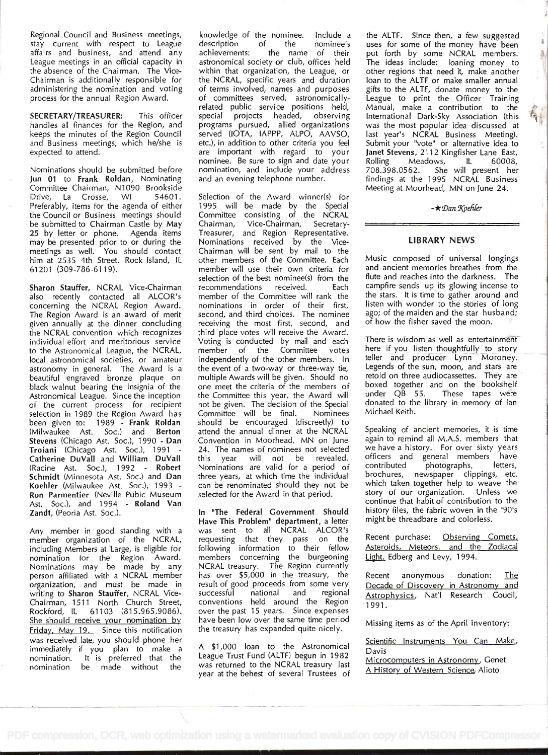Regional Council and Business meetings, stay current with respect to League description<br>affairs and business, and attend any achievements: affairs and business, and attend any League meetings in an official capacity in the absence of the Chairman. The Vice-Chairman is additionally responsible for administering the nomination and voting process for the annual Region Award.

SECRETARY/TREASURER: This officer handles all finances for the Region, and keeps the minutes of the Region Council and Business meetings, which he/she is expected to attend.

Nominations should be submitted before Jun 01 to Frank Roldan, Nominating Committee Chairman, N1090 Brookside Drive, La Crosse, WI 54601. Preferably, items for the agenda of either the Council or Business meetings should Committee be submitted to Chairman Castle by May Chairman, be submitted to Chairman Castle by May 25 by letter or phone. Agenda items may be presented prior to or during the meetings as well. You should contact him at 2535 4th Street, Rock Island, IL 61 201 (309-786-6119).

Sharon Stauffer, NCRAL Vice-Chairman also recently contacted all ALCOR's concerning the NCRAL Region Award. The Region Award is an award of merit given annually at the dinner concluding the NCRAL convention which recognizes individual effort and meritorious service to the Astronomical League, the NCRAL, local astronomical societies, or amateur astronomy in general. The Award is a beautiful engraved bronze plaque on black walnut bearing the insignia of the Astronomical League. Since the inception of the current process for recipient selection in 1989 the Region Award has been given to: 1989 - Frank Roldan (Milwaukee Ast. Soc.) and Berton Stevens (Chicago Ast. Soc.), 1990 - Dan Troiani (Chicago Ast. Soc.), 1991 -Catherine DuVall and William DuVall (Racine Ast. Soc.), 1992 - Robert Schmidt (Minnesota Ast. Soc.) and Dan Koehler (Milwaukee Ast. Soc.), 1993 -Ron Parmentier (Neville Pubic Museum Ast. Soc.), and 1994 - Roland Van Zandt, (Peoria Ast. Soc.).

Any member in good standing with a member organization of the NCRAL, including Members at Large, is eligible for nomination for the Region Award. Nominations may be made by any person affiliated with a NCRAL member organization, and must be made in writing to Sharon Stauffer, NCRAL Vice-Chairman, 1511 North Church Street, Rockford, IL 61103 (815.965.9086). She should receive your nomination by Friday, May 19. Since this notification was received late, you should phone her immediately if you plan to make a nomination. It is preferred that the made without the

knowledge of the nominee. Include a description the name of their astronomical society or club, offices held within that organization, the League, or the NCRAL, specific years and duration of terms involved, names and purposes of committees served, astronomicallyrelated public service positions held, special projects headed, observing programs pursued, allied organizations served (IOTA, IAPPP, ALPO, AAVSO, etc.), in addition to other criteria you feel are important with regard to your nominee. Be sure to sign and date your nomination, and include your address and an evening telephone number.

Selection of the Award winner(s) for 1995 will be made by the Special Committee consisting of the NCRAL Vice-Chairman, Secretary-Treasurer, and Region Representative. Nominations received by the Vice-Chairman will be sent by mail to the other members of the Committee. Each member will use their own criteria for selection of the best nominee(s) from the recommendations received. Each member of the Committee will rank the nominations in order of their first, second, and third choices. The nominee a receiving the most first, second, and third place votes will receive the Award. Voting is conducted by mail and each member of the Committee votes independently of the other members. In the event of a two-way or three-way tie, multiple Awards will be given. Should no one meet the criteria of the members of bo the Committee this year, the Award will not be given. The decision of the Special Committee will be final. Nominees should be encouraged (discreetly) to attend the annual dinner at the NCRAL Convention in Moorhead, MN on June 24. The names of nominees not selected this year will not be revealed. Nominations are valid for a period of three years, at which time the individual can be renominated should they not be selected for the Award in that period.

In "The Federal Government Should Have This Problem" department, a letter was sent to all NCRAL ALCOR's requesting that they pass on the following information to their fellow  $A$ members concerning the burgeoning L NCRAL treasury. The Region currently has over \$5,000 in the treasury, the result of good proceeds from some very<br>successful **national** and regional successful national and conventions held around the Region over the past 15 years. Since expenses have been low over the same time period the treasury has expanded quite nicely.

A \$1,000 loan to the Astronomical League Trust Fund (ALTF) begun in 1982 was returned to the NCRAL treasury last year at the behest of several Trustees of the ALTF. Since then, a few suggested uses for some of the money have been put forth by some NCRAL members. The ideas include: loaning money to other regions that need it, make another loan to the ALTF or make smaller annual gifts to the ALTF, donate money to the League to print the Officer Training Manual, make a contribution to the International Dark-Sky Association (this was the most popular idea discussed at last year's NCRAL Business Meeting). Submit your "vote' or alternative idea to Janet Stevens, 2112 Kingfisher Lane East, Meadows, IL 60008, 708.398.0562. She will present her findings at the 1995 NCRAL Business Meeting at Moorhead, MN on June 24.

à 

 $-\star$ Dan Koehler

# LIBRARY NEWS

Music composed of universal longings and ancient memories breathes from the flute and reaches into the darkness. The campfire sends up its glowing incense to the stars. lt is time to gather around and listen with wonder to the stories of long ago; of the maiden and the star husband; of how the fisher saved the moon.

There is wisdom as well as entertainment here if you listen thoughtfully to story teller and producer Lynn Moroney. Legends of the sun, moon, and stars are retold on three audiocassettes. They are boxed together and on the bookshelf under QB 55. These tapes were donated to the library in memory of lan Michael Keith.

Speaking of ancient memories, it is time again to remind all M.A.S. members that we have a history. For over sixty years officers and general members have contributed photographs, letters, brochures, newspaper clippings, etc. which taken together help to weave the story of our organization. Unless we continue that habit of contribution to the history files, the fabric woven in the '90's might be threadbare and colorless.

Recent purchase: Observing Comets, Asteroids, Meteors, and the Zodiacal Light, Edberg and Levy, 1994.

Recent anonymous donation: The Decade of Discovery in Astronomy and Astrophysics, Nat'l Research Coucil, 1991.

Missing items as of the April inventory:

Scientific Instruments You Can Make, Davis

Microcomputers in Astronomy, Genet A History of Western Science, Alioto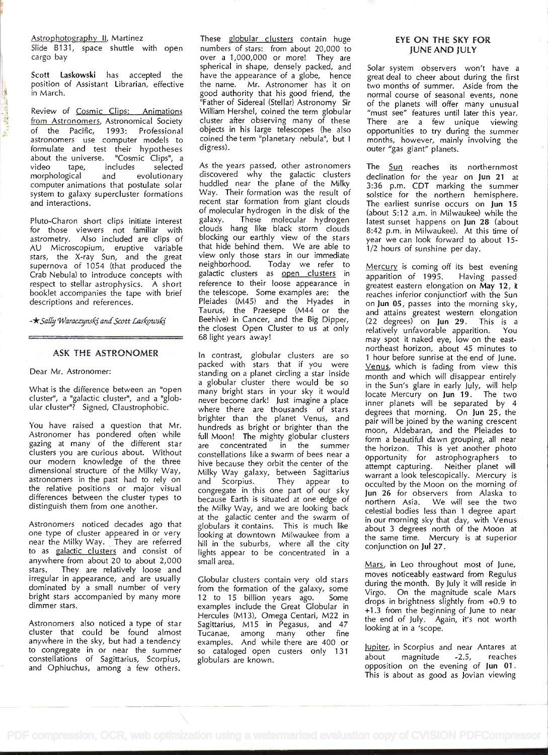Astrophotography II, Martinez

Slide B131, space shuttle with open cargo bay

Scott Laskowski has accepted the position of Assistant Librarian, effective in March.

Review of Cosmic Clips: Animations from Astronomers, Astronomical Society of the Pacific, 1993: Professional astronomers use computer models to formulate and test their hypotheses<br>about the universe. "Cosmic Clips", a about the universe. "Cosmic Clips", a<br>video tape, includes selected includes morphological and evolutionary computer animations that postulate solar system to galaxy supercluster formations and interactions.

Pluto-Charon short clips initiate interest for those viewers not familiar with astrometry. Also included are clips of AU Microscopium, eruptive variable stars, the X-ray Sun, and the great supernova of 1054 (that produced the Crab Nebula) to introduce concepts with respect to stellar astrophysics. A short booklet accompanies the tape with brief descriptions and references.

-\* Sally Waraczynski and Scott Laskowski

## ASK THE ASTRONOMER

Dear Mr. Astronomer:

What is the difference between an "open cluster", a "galactic cluster", and a "globular cluster"? Signed, Claustrophobic.

You have raised a question that Mr. Astronomer has pondered often while gazing at many of the different star clusters you are curious about. Without our modern knowledge of the three dimensional structure of the Milky Way, astronomers in the past had to rely on the relative positions or major visual differences between the cluster types to distinguish them from one another.

Astronomers noticed decades ago that one type of cluster appeared in or very near the Milky Way. They are referred to as galactic clusters and consist of anywhere from about 20 to about 2,000 stars. They are relatively loose and irregular in appearance, and are usually dominated by a small number of very bright stars accompanied by many more dimmer stars.

Astronomers also noticed a type of star cluster that could be found almost anywhere in the sky, but had a tendency to congregate in or near the summer constellations of Sagittarius, Scorpius, and Ophiuchus, among a few others.

These globular clusters contain huge numbers of stars: from about 20,000 to over a 1,000,000 or more! They are spherical in shape, densely packed, and have the appearance of a globe, hence the name. Mr. Astronomer has it on good authority that his good friend, the "Father of Sidereal (Stellar) Astronomy Sir William Hershel, coined the term globular cluster after observing many of these objects in his large telescopes (he also coined the term "planetary nebula", but I digress).

As the years passed, other astronomers discovered why the galactic clusters huddled near the plane of the Milky Way. Their formation was the result of recent star formation from giant clouds of molecular hydrogen in the disk of the galaxy. These molecular hydrogen <sub>la</sub> clouds hang like black storm clouds blocking our earthly view of the stars that hide behind them. We are able to view only those stars in our immediate neighborhood. Today we refer to galactic clusters as open clusters in reference to their loose appearance in the telescope. Some examples are: the Pleiades (M45) and the Hyades in Taurus, the Praesepe (M44 or the Beehive) in Cancer, and the Big Dipper, the closest Open Cluster to us at only re 68 light years away!

in contrast, globular clusters are so packed with stars that if you were standing on a planet circling a star inside a globular cluster there would be so many bright stars in your sky it would in never become dark! Just imagine a place where there are thousands of stars brighter than the planet Venus, and hundreds as bright or brighter than the full Moon! The mighty globular clusters are concentrated in the summer constellations like a swarm of bees near a hive because they orbit the center of the Milky Way galaxy, between Sagittarius w and Scorpius. They appear to  $\alpha$ congregate in this one part of our sky because Earth is situated at one edge of  $\alpha$ the Milky Way, and we are looking back at the galactic center and the swarm of globulars it contains. This is much like looking at downtown Milwaukee from a hill in the suburbs, where all the city  $\overline{c}$ lights appear to be concentrated in a small area.

Globular clusters contain very old stars from the formation of the galaxy, some 12 to 15 billion years ago. Some examples include the Great Globular in Hercules (M13), Omega Centari, M22 in Sagittarius, M15 in Pegasus, and 47  $\frac{1}{1}$ Tucanae, among many other fine examples. And while there are 400 or so cataloged open custers only 131 globulars are known.

#### EYE ON THE SKY FOR JUNE AND JULY

Solar system observers won't have a great deal to cheer about during the first two months of summer. Aside from the normal course of seasonal events, none of the planets will offer many unusual "must see" features until later this year. There are a few unique viewing opportunities to try during the summer months, however, mainly involving the outer "gas giant" planets.

The Sun reaches its northernmost declination for the year on Jun 21 at 3:36 p.m. CDT marking the summer solstice for the northern hemisphere. The earliest sunrise occurs on Jun 15 (about 5:12 a.m. in Milwaukee) while the latest sunset happens on Jun 28 (about 8:42 p.m. in Milwaukee). At this time of year we can look forward to about 15-1/2 hours of sunshine per day.

Mercury is coming off its best evening apparition of 1995. Having passed greatest eastern elongation on May 12, it reaches inferior conjunction with the Sun on Jun 05, passes into the morning sky, and attains greatest western elongation (22 degrees) on Jun 29. This is a relatively unfavorable apparition. You may spot it naked eye, low on the eastnortheast horizon, about 45 minutes to <sup>1</sup>hour before sunrise at the end of June. Venus, which is fading from view this month and which will disappear entirely in the Sun's glare in early July, will help locate Mercury on Jun 19. The two inner planets will be separated by 4 degrees that morning. On Jun 25, the pair will be joined by the waning crescent moon, Aldebaran, and the Pleiades to form a beautiful dawn grouping, all near the horizon. This is yet another photo opportunity for astrophographers to attempt capturing. Neither planet will warrant a look telescopically. Mercury is occulted by the Moon on the morning of Jun 26 for observers from Alaska to northern Asia. We will see the two celestial bodies less than 1 degree apart in our morning sky that day, with Venus about 3 degrees north of the Moon at the same time. Mercury is at superior conjunction on Jul 27.

Mars, in Leo throughout most of June, moves noticeably eastward from Regulus during the month. By July it will reside in Virgo. On the magnitude scale Mars drops in brightness slightly from +0.9 to +1.3 from the beginning of June to near the end of July. Again, it's not worth looking at in a 'scope.

Jupiter, in Scorpius and near Antares at about magnitude -2.5, reaches opposition on the evening of Jun 01. This is about as good as Jovian viewing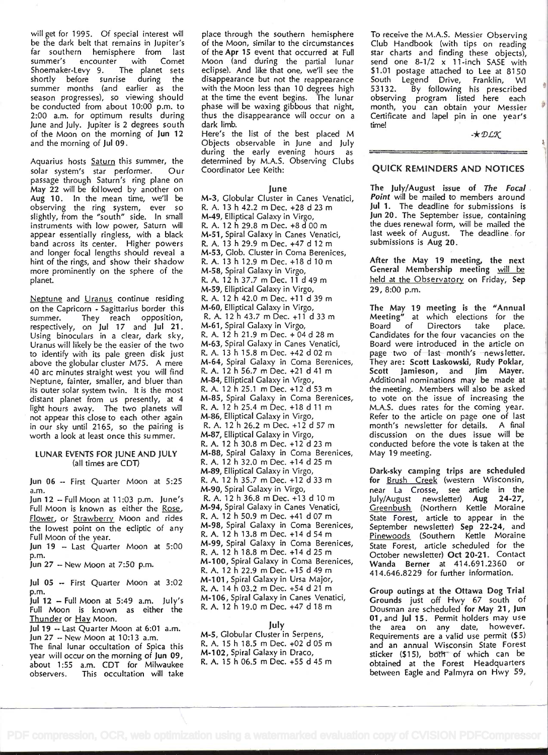will get for 1995. Of special interest will be the dark belt that remains in Jupiter's far southern hemisphere from last summer's encounter with Comet<br>Shoemaker-Levy 9. The planet sets Shoemaker-Levy 9. The planet sets<br>shortly before sunrise during the shortly before sunrise during summer months (and earlier as the season progresses), so viewing should be conducted from about 10:00 p.m. to 2:00 a.m. for optimum results during June and July. Jupiter is 2 degrees south of the Moon on the morning of Jun 12 and the morning of Jut 09.

Aquarius hosts Saturn this summer, the solar system's star performer. Our passage through Saturn's ring plane on May 22 will be fol lowed by another on Aug 10. In the mean time, we'll be observing the ring system, ever so slightly, from the "south" side. In small instruments with low power, Saturn will appear essentially ringless, with a black  $M-51$ , Spiral Galaxy in Canes Venation band across its center. Higher powers  $R$ , A, 13 h 29.9 m Dec. +47 d 12 m band across its center. Higher powers and longer focal lengths should reveal a hint of the rings, and show their shadow more prominently on the sphere of the planet.

Neptune and Uranus continue residing on the Capricorn - Sagittarius border this summer. They reach opposition, respectively, on Jul 17 and Jul 21.  $\sim$ Using binoculars in a clear, dark sky, Uranus will likely be the easier of the two to identify with its pale green disk just above the globular cluster M75. A mere 40 arc minutes straight west you will find Neptune, fainter, smaller, and bluer than its outer solar system twin. lt is the most distant planet from us presently, at 4 light hours away. The two planets will not appear this close to each other again in our sky until 21 65, so the pairing is worth a look at least once this summer.

#### LUNAR EVENTS FOR JUNE AND JULY (all times are CDT)

Jun 06 -- First Quarter Moon at 5:25 a.m.

Jun 12 - Full Moon at 11:03 p.m. June's Full Moon is known as either the Rose, Flower, or Strawberry Moon and rides the lowest point on the ecliptic of any  $M=98$ , Spiral Galaxy in Coma Bere.<br>Eul Moon of the year. Full Moon of the year.

Jun <sup>19</sup>- Last Quarter Moon at 5:00 p.m.

Jun <sup>27</sup>- New Moon at 7:50 p.m.

Jul <sup>05</sup>- First Quarter Moon at 3:02 p.m.

Jul <sup>12</sup>- Full Moon at 5:49 a.m. July's Full Moon is known as either the Thunder or Hay Moon.

Jul 19 -- Last Quarter Moon at 6:01 a.m. Jun <sup>27</sup>- New Moon at 10:13 a.m.

The final lunar occultation of Spica this year will occur on the morning of Jun 09, about 1:55 a.m. CDT for Milwaukee observers. This occultation will take place through the southern hemisphere of the Moon, similar to the circumstances of the Apr 15 event that occurred at Full Moon (and during the partial lunar eclipse). And like that one, we'll see the disappearance but not the reappearance with the Moon less than 10 degrees high 53132. at the time the event begins. The lunar phase will be waxing gibbous that night, thus the disappearance will occur on a dark limb.

Here's the list of the best placed M Objects observable in June and July during the early evening hours as determined by M.A.S. Observing Clubs Coordinator Lee Keith:

#### June

M-3, Globular Cluster in Canes Venatici, R. A. 13 h 42.2 m Dec. +28 d 23m M-49, Elliptical Galaxy in Virgo, R. A. 12 h 29.8 m Dec. +8 d 00m M-51, Spiral Galaxy in Canes Venatici, M-53, Glob. Cluster in Coma Berenices, R. A. 13 h 12.9 m Dec. +18 d 10m M-58, Spiral Galaxy in Virgo, R. A. 12 h 37.7 m Dec. 11 d 49 m M-59, Elliptical Galaxy in Virgo, R. A. 12 h 42.0 m Dec. +11 d 39 m M-60, Elliptical Galaxy in Virgo, R. A. i 2 h 43.7 m Dec. +1 1 d 33 m M-61, Spiral Galaxy in Virgo, R. A. 12 h 21.9 m Dec. + 04 d 28 m M-63, Spiral Galaxy in Canes Venatici, R. A. 13 h 15.8 m Dec. +42 d 02m M-64, Spiral Galaxy in Coma Berenices, R. A. 12 h 56.7 m Dec. +21 d 41 m M-84, Elliptical Galaxy in Virgo, R. A. 12 h 25.1 m Dec. +12 d 53 m M-85, Spiral Galaxy in Coma Berenices, R. A. 12 h 25.4 m Dec. +18 d 11 m M-86, Elliptical Galaxy in Virgo, R. A. 12 h 26.2 m Dec. +12 d 57 m M-87, Elliptical Galaxy in Virgo, R. A. 12 h 30.8 m Dec. +12 d 23 m M-88, Spiral Galaxy in Coma Berenices, R. A. 12 h 32.0 m Dec. +14 d 25m M-89, Elliptical Galaxy in Virgo, R. A. 12 h 35.7 m Dec. +12 d 33 m M-90, Spiral Galaxy in Virgo, R. A. 12 h 36.8 m Dec. +13 d 10 m M-94, Spiral Galaxy in Canes Venatici, R. A. 12 h 50.9 m Dec. +41 d 07m M-98, Spiral Galaxy in Coma Berenices, M-99, Spiral Galaxy in Coma Berenices, R. A. 12 h 18.8 m Dec. +14 d 25 m M-100, Spiral Galaxy in Coma Berenices, R. A. 12 h 22.9 m Dec. +15 d 49 m M-101, Spiral Galaxy in Ursa Major, R. A. 14 h 03.2 m Dec. +54 d 21 m M-106, Spiral Galaxy in Canes Venatici, R. A. 12 h 19.0 m Dec. +47 d 18 m

# July

M-5, Globular Cluster in Serpens, R. A. i 5 h i 8.5 m Dec. +02 d 05 m M-102, Spiral Galaxy in Draco, R. A. 15 h 06.5 m Dec. +55 d 45m

To receive the M.A.S. Messier Observing Club Handbook (with tips on reading star charts and finding these objects), send one 8-1/2 x 11-inch SASE with \$1.01 postage attached to Lee at 8150 South Legend Drive, By following his prescribed observing program listed here each month, you can obtain your Messier Certificate and lapel pin in one year's time!

 $-x$   $D L X$ 

# QUICK REMINDERS AND NOTICES

The July/August issue of The Focal. Point will be mailed to members around Jul 1. The deadline for submissions is Jun 20. The September issue, containing the dues renewal form, will be mailed the last week of August. The deadline for submissions is Aug 20.

After the May 19 meeting, the next General Membership meeting will be held at the Observatory on Friday, Sep 29, 8:00 p.m.

The May 19 meeting is the "Annual Meeting" at which elections for the Board of Directors take place. Candidates for the four vacancies on the Board were introduced in the article on page two of last month's newsletter. They are: Scott Laskowski, Rudy Poklar, Scott Jamieson, and Jim Mayer. Additional nominations may be made at the meeting. Members will also be asked to vote on the issue of increasing the M.A.S. dues rates for the coming year. Refer to the article on page one of last month's newsletter for details. A final discussion on the dues issue will be conducted before the vote is taken at the May 19 meeting.

Dark-sky camping trips are scheduled for Brush Creek (western Wisconsin, near La Crosse, see article in the<br>Iulv/August newsletter) Aug 24-27. July/August newsletter) Aug Greenbush (Northern Kettle Moraine State Forest, article to appear in the September newsletter) Sep 22-24, and Pinewoods (Southern Kettle Moraine State Forest, article scheduled for the October newsletter) Oct 20-21. Contact Wanda Berner at 414.691.2360 or 41 4.646.8229 for further information.

Group outings at the Ottawa Dog Trial Grounds just off Hwy 67 south of Dousman are scheduled for May 21 , Jun 01, and Jul 15. Permit holders may use the area on any date, however. Requirements are a valid use permit (\$5) and an annual Wisconsin State Forest sticker (\$15), both of which can be obtained at the Forest Headquarters between Eagle and Palmyra on Hwy 59,